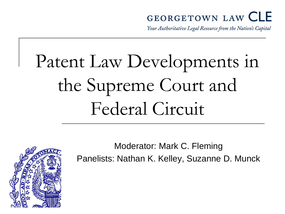#### **GEORGETOWN LAW CLE**

Your Authoritative Legal Resource from the Nation's Capital

# Patent Law Developments in the Supreme Court and Federal Circuit

Moderator: Mark C. Fleming Panelists: Nathan K. Kelley, Suzanne D. Munck

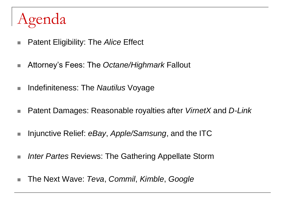## Agenda

- Patent Eligibility: The *Alice* Effect
- Attorney's Fees: The *Octane/Highmark* Fallout
- Indefiniteness: The *Nautilus* Voyage
- Patent Damages: Reasonable royalties after *VirnetX* and *D-Link*
- Injunctive Relief: *eBay, Apple/Samsung*, and the ITC
- *Inter Partes* Reviews: The Gathering Appellate Storm
- The Next Wave: *Teva, Commil, Kimble, Google*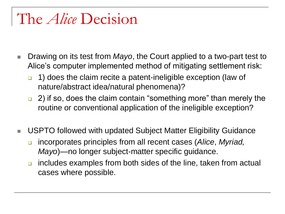#### The *Alice* Decision

- Drawing on its test from *Mayo*, the Court applied to a two-part test to Alice's computer implemented method of mitigating settlement risk:
	- 1) does the claim recite a patent-ineligible exception (law of nature/abstract idea/natural phenomena)?
	- □ 2) if so, does the claim contain "something more" than merely the routine or conventional application of the ineligible exception?
- USPTO followed with updated Subject Matter Eligibility Guidance
	- incorporates principles from all recent cases (*Alice*, *Myriad, Mayo*)—no longer subject-matter specific guidance.
	- **n** includes examples from both sides of the line, taken from actual cases where possible.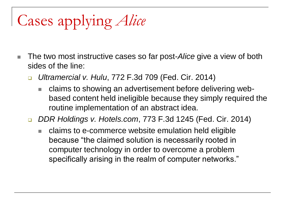## Cases applying *Alice*

- The two most instructive cases so far post-*Alice* give a view of both sides of the line:
	- *Ultramercial v. Hulu*, 772 F.3d 709 (Fed. Cir. 2014)
		- claims to showing an advertisement before delivering webbased content held ineligible because they simply required the routine implementation of an abstract idea.
	- *DDR Holdings v. Hotels.com*, 773 F.3d 1245 (Fed. Cir. 2014)
		- claims to e-commerce website emulation held eligible because "the claimed solution is necessarily rooted in computer technology in order to overcome a problem specifically arising in the realm of computer networks."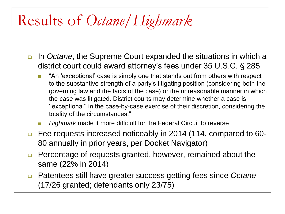## Results of *Octane/Highmark*

- In *Octane*, the Supreme Court expanded the situations in which a district court could award attorney's fees under 35 U.S.C. § 285
	- **T** "An 'exceptional' case is simply one that stands out from others with respect to the substantive strength of a party's litigating position (considering both the governing law and the facts of the case) or the unreasonable manner in which the case was litigated. District courts may determine whether a case is ''exceptional'' in the case-by-case exercise of their discretion, considering the totality of the circumstances."
	- *Highmark* made it more difficult for the Federal Circuit to reverse
- □ Fee requests increased noticeably in 2014 (114, compared to 60-80 annually in prior years, per Docket Navigator)
- **Percentage of requests granted, however, remained about the** same (22% in 2014)
- Patentees still have greater success getting fees since *Octane*  (17/26 granted; defendants only 23/75)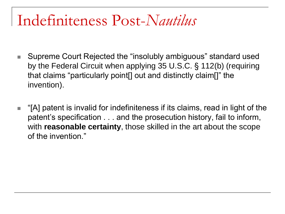#### Indefiniteness Post-*Nautilus*

- Supreme Court Rejected the "insolubly ambiguous" standard used by the Federal Circuit when applying 35 U.S.C. § 112(b) (requiring that claims "particularly point[] out and distinctly claim[]" the invention).
- $\blacksquare$  "[A] patent is invalid for indefiniteness if its claims, read in light of the patent's specification . . . and the prosecution history, fail to inform, with **reasonable certainty**, those skilled in the art about the scope of the invention."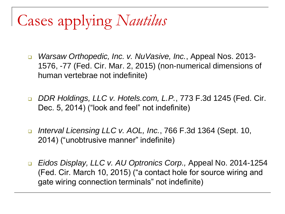## Cases applying *Nautilus*

- *Warsaw Orthopedic, Inc. v. NuVasive, Inc.*, Appeal Nos. 2013- 1576, -77 (Fed. Cir. Mar. 2, 2015) (non-numerical dimensions of human vertebrae not indefinite)
- *DDR Holdings, LLC v. Hotels.com, L.P.*, 773 F.3d 1245 (Fed. Cir. Dec. 5, 2014) ("look and feel" not indefinite)
- *Interval Licensing LLC v. AOL, Inc.*, 766 F.3d 1364 (Sept. 10, 2014) ("unobtrusive manner" indefinite)
- *Eidos Display, LLC v. AU Optronics Corp.,* Appeal No. 2014-1254 (Fed. Cir. March 10, 2015) ("a contact hole for source wiring and gate wiring connection terminals" not indefinite)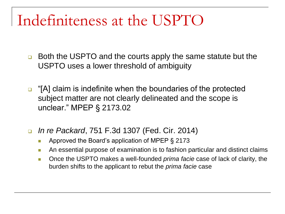### Indefiniteness at the USPTO

- **Both the USPTO and the courts apply the same statute but the** USPTO uses a lower threshold of ambiguity
- $\Box$  "[A] claim is indefinite when the boundaries of the protected subject matter are not clearly delineated and the scope is unclear." MPEP § 2173.02
- *In re Packard*, 751 F.3d 1307 (Fed. Cir. 2014)
	- **Approved the Board's application of MPEP § 2173**
	- **An essential purpose of examination is to fashion particular and distinct claims**
	- **Detable 10 The USPTO makes a well-founded** *prima facie* **case of lack of clarity, the** burden shifts to the applicant to rebut the *prima facie* case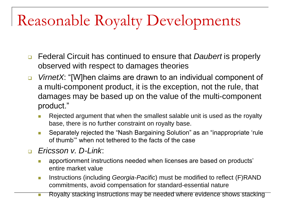## Reasonable Royalty Developments

- Federal Circuit has continued to ensure that *Daubert* is properly observed with respect to damages theories
- *VirnetX*: "[W]hen claims are drawn to an individual component of a multi-component product, it is the exception, not the rule, that damages may be based up on the value of the multi-component product."
	- **Rejected argument that when the smallest salable unit is used as the royalty** base, there is no further constraint on royalty base.
	- **Separately rejected the "Nash Bargaining Solution" as an "inappropriate 'rule** of thumb'" when not tethered to the facts of the case
- *Ericsson v. D-Link*:
	- **EX apportionment instructions needed when licenses are based on products'** entire market value
	- **Instructions (including** *Georgia-Pacific***) must be modified to reflect (F)RAND** commitments, avoid compensation for standard-essential nature
	- **Royalty stacking instructions may be needed where evidence shows stacking**